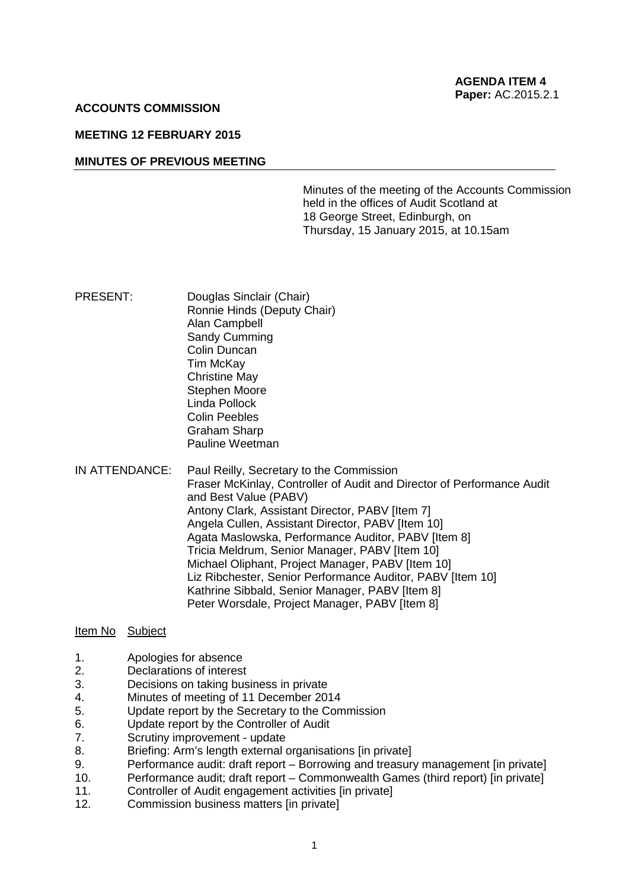#### **ACCOUNTS COMMISSION**

# **MEETING 12 FEBRUARY 2015**

## **MINUTES OF PREVIOUS MEETING**

Minutes of the meeting of the Accounts Commission held in the offices of Audit Scotland at 18 George Street, Edinburgh, on Thursday, 15 January 2015, at 10.15am

- PRESENT: Douglas Sinclair (Chair) Ronnie Hinds (Deputy Chair) Alan Campbell Sandy Cumming Colin Duncan Tim McKay Christine May Stephen Moore Linda Pollock Colin Peebles Graham Sharp Pauline Weetman
- IN ATTENDANCE: Paul Reilly, Secretary to the Commission Fraser McKinlay, Controller of Audit and Director of Performance Audit and Best Value (PABV) Antony Clark, Assistant Director, PABV [Item 7] Angela Cullen, Assistant Director, PABV [Item 10] Agata Maslowska, Performance Auditor, PABV [Item 8] Tricia Meldrum, Senior Manager, PABV [Item 10] Michael Oliphant, Project Manager, PABV [Item 10] Liz Ribchester, Senior Performance Auditor, PABV [Item 10] Kathrine Sibbald, Senior Manager, PABV [Item 8] Peter Worsdale, Project Manager, PABV [Item 8]

## Item No Subject

- 1. Apologies for absence
- 2. Declarations of interest
- 3. Decisions on taking business in private
- 4. Minutes of meeting of 11 December 2014
- 5. Update report by the Secretary to the Commission
- 6. Update report by the Controller of Audit
- 7. Scrutiny improvement update
- 8. Briefing: Arm's length external organisations [in private]
- 9. Performance audit: draft report Borrowing and treasury management [in private]
- 10. Performance audit; draft report Commonwealth Games (third report) [in private]
- 11. Controller of Audit engagement activities [in private]
- 12. Commission business matters [in private]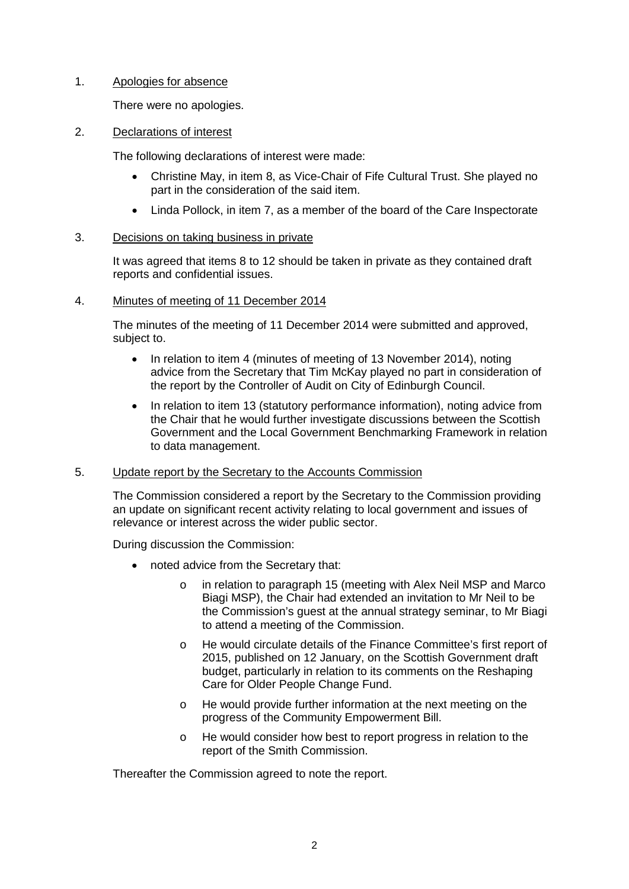# 1. Apologies for absence

There were no apologies.

## 2. Declarations of interest

The following declarations of interest were made:

- Christine May, in item 8, as Vice-Chair of Fife Cultural Trust. She played no part in the consideration of the said item.
- Linda Pollock, in item 7, as a member of the board of the Care Inspectorate

## 3. Decisions on taking business in private

It was agreed that items 8 to 12 should be taken in private as they contained draft reports and confidential issues.

## 4. Minutes of meeting of 11 December 2014

The minutes of the meeting of 11 December 2014 were submitted and approved, subject to.

- In relation to item 4 (minutes of meeting of 13 November 2014), noting advice from the Secretary that Tim McKay played no part in consideration of the report by the Controller of Audit on City of Edinburgh Council.
- In relation to item 13 (statutory performance information), noting advice from the Chair that he would further investigate discussions between the Scottish Government and the Local Government Benchmarking Framework in relation to data management.

# 5. Update report by the Secretary to the Accounts Commission

The Commission considered a report by the Secretary to the Commission providing an update on significant recent activity relating to local government and issues of relevance or interest across the wider public sector.

During discussion the Commission:

- noted advice from the Secretary that:
	- o in relation to paragraph 15 (meeting with Alex Neil MSP and Marco Biagi MSP), the Chair had extended an invitation to Mr Neil to be the Commission's guest at the annual strategy seminar, to Mr Biagi to attend a meeting of the Commission.
	- o He would circulate details of the Finance Committee's first report of 2015, published on 12 January, on the Scottish Government draft budget, particularly in relation to its comments on the Reshaping Care for Older People Change Fund.
	- o He would provide further information at the next meeting on the progress of the Community Empowerment Bill.
	- o He would consider how best to report progress in relation to the report of the Smith Commission.

Thereafter the Commission agreed to note the report.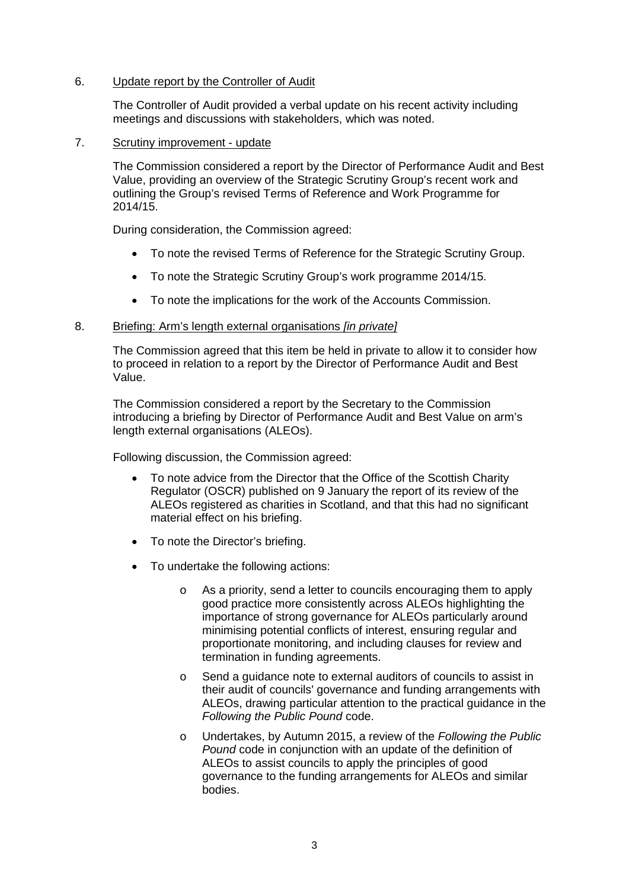# 6. Update report by the Controller of Audit

The Controller of Audit provided a verbal update on his recent activity including meetings and discussions with stakeholders, which was noted.

### 7. Scrutiny improvement - update

The Commission considered a report by the Director of Performance Audit and Best Value, providing an overview of the Strategic Scrutiny Group's recent work and outlining the Group's revised Terms of Reference and Work Programme for 2014/15.

During consideration, the Commission agreed:

- To note the revised Terms of Reference for the Strategic Scrutiny Group.
- To note the Strategic Scrutiny Group's work programme 2014/15.
- To note the implications for the work of the Accounts Commission.

## 8. Briefing: Arm's length external organisations *[in private]*

The Commission agreed that this item be held in private to allow it to consider how to proceed in relation to a report by the Director of Performance Audit and Best Value.

The Commission considered a report by the Secretary to the Commission introducing a briefing by Director of Performance Audit and Best Value on arm's length external organisations (ALEOs).

Following discussion, the Commission agreed:

- To note advice from the Director that the Office of the Scottish Charity Regulator (OSCR) published on 9 January the report of its review of the ALEOs registered as charities in Scotland, and that this had no significant material effect on his briefing.
- To note the Director's briefing.
- To undertake the following actions:
	- o As a priority, send a letter to councils encouraging them to apply good practice more consistently across ALEOs highlighting the importance of strong governance for ALEOs particularly around minimising potential conflicts of interest, ensuring regular and proportionate monitoring, and including clauses for review and termination in funding agreements.
	- o Send a guidance note to external auditors of councils to assist in their audit of councils' governance and funding arrangements with ALEOs, drawing particular attention to the practical guidance in the *Following the Public Pound* code.
	- o Undertakes, by Autumn 2015, a review of the *Following the Public Pound* code in conjunction with an update of the definition of ALEOs to assist councils to apply the principles of good governance to the funding arrangements for ALEOs and similar bodies.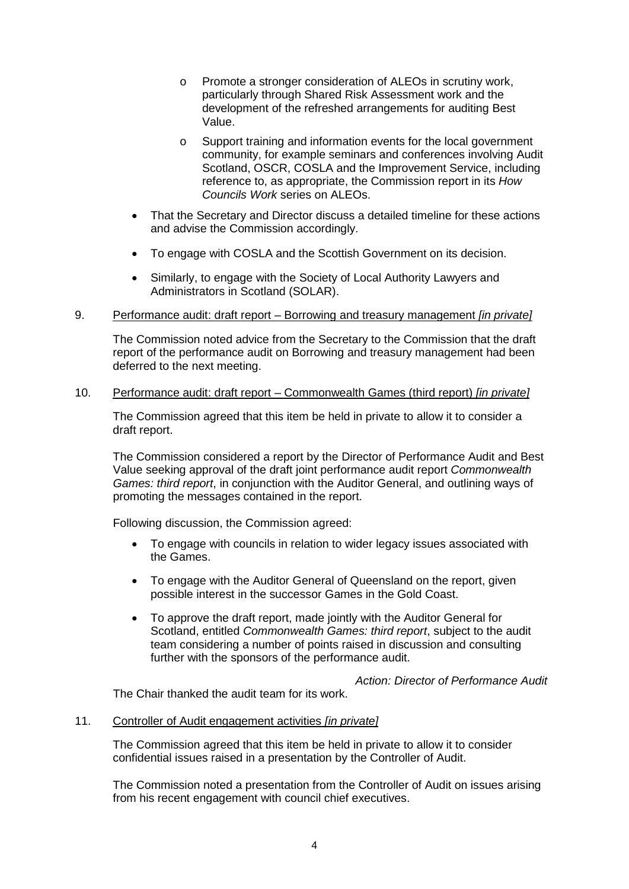- o Promote a stronger consideration of ALEOs in scrutiny work, particularly through Shared Risk Assessment work and the development of the refreshed arrangements for auditing Best Value.
- o Support training and information events for the local government community, for example seminars and conferences involving Audit Scotland, OSCR, COSLA and the Improvement Service, including reference to, as appropriate, the Commission report in its *How Councils Work* series on ALEOs.
- That the Secretary and Director discuss a detailed timeline for these actions and advise the Commission accordingly.
- To engage with COSLA and the Scottish Government on its decision.
- Similarly, to engage with the Society of Local Authority Lawyers and Administrators in Scotland (SOLAR).

## 9. Performance audit: draft report – Borrowing and treasury management *[in private]*

The Commission noted advice from the Secretary to the Commission that the draft report of the performance audit on Borrowing and treasury management had been deferred to the next meeting.

## 10. Performance audit: draft report – Commonwealth Games (third report) *[in private]*

The Commission agreed that this item be held in private to allow it to consider a draft report.

The Commission considered a report by the Director of Performance Audit and Best Value seeking approval of the draft joint performance audit report *Commonwealth Games: third report*, in conjunction with the Auditor General, and outlining ways of promoting the messages contained in the report.

Following discussion, the Commission agreed:

- To engage with councils in relation to wider legacy issues associated with the Games.
- To engage with the Auditor General of Queensland on the report, given possible interest in the successor Games in the Gold Coast.
- To approve the draft report, made jointly with the Auditor General for Scotland, entitled *Commonwealth Games: third report*, subject to the audit team considering a number of points raised in discussion and consulting further with the sponsors of the performance audit.

*Action: Director of Performance Audit*

The Chair thanked the audit team for its work.

#### 11. Controller of Audit engagement activities *[in private]*

The Commission agreed that this item be held in private to allow it to consider confidential issues raised in a presentation by the Controller of Audit.

The Commission noted a presentation from the Controller of Audit on issues arising from his recent engagement with council chief executives.